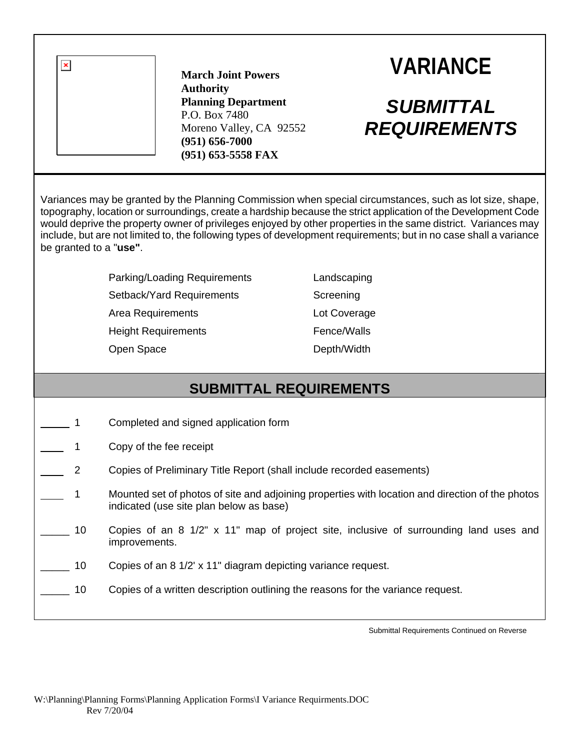| $\pmb{\times}$                                                                                                                                                                                                                                                                                                                                                                                                                                                                              | <b>March Joint Powers</b><br><b>Authority</b><br><b>Planning Department</b><br>P.O. Box 7480<br>Moreno Valley, CA 92552<br>$(951) 656 - 7000$<br>$(951)$ 653-5558 FAX | <b>VARIANCE</b><br><b>SUBMITTAL</b><br><b>REQUIREMENTS</b> |  |
|---------------------------------------------------------------------------------------------------------------------------------------------------------------------------------------------------------------------------------------------------------------------------------------------------------------------------------------------------------------------------------------------------------------------------------------------------------------------------------------------|-----------------------------------------------------------------------------------------------------------------------------------------------------------------------|------------------------------------------------------------|--|
| Variances may be granted by the Planning Commission when special circumstances, such as lot size, shape,<br>topography, location or surroundings, create a hardship because the strict application of the Development Code<br>would deprive the property owner of privileges enjoyed by other properties in the same district. Variances may<br>include, but are not limited to, the following types of development requirements; but in no case shall a variance<br>be granted to a "use". |                                                                                                                                                                       |                                                            |  |
|                                                                                                                                                                                                                                                                                                                                                                                                                                                                                             | Parking/Loading Requirements                                                                                                                                          | Landscaping                                                |  |
|                                                                                                                                                                                                                                                                                                                                                                                                                                                                                             | Setback/Yard Requirements                                                                                                                                             | Screening                                                  |  |
|                                                                                                                                                                                                                                                                                                                                                                                                                                                                                             | <b>Area Requirements</b>                                                                                                                                              | Lot Coverage                                               |  |
|                                                                                                                                                                                                                                                                                                                                                                                                                                                                                             | <b>Height Requirements</b>                                                                                                                                            | Fence/Walls                                                |  |
|                                                                                                                                                                                                                                                                                                                                                                                                                                                                                             | Open Space                                                                                                                                                            | Depth/Width                                                |  |
| <b>SUBMITTAL REQUIREMENTS</b>                                                                                                                                                                                                                                                                                                                                                                                                                                                               |                                                                                                                                                                       |                                                            |  |
|                                                                                                                                                                                                                                                                                                                                                                                                                                                                                             | Completed and signed application form                                                                                                                                 |                                                            |  |
|                                                                                                                                                                                                                                                                                                                                                                                                                                                                                             | Copy of the fee receipt                                                                                                                                               |                                                            |  |
| $\overline{2}$                                                                                                                                                                                                                                                                                                                                                                                                                                                                              | Copies of Preliminary Title Report (shall include recorded easements)                                                                                                 |                                                            |  |
| 1                                                                                                                                                                                                                                                                                                                                                                                                                                                                                           | Mounted set of photos of site and adjoining properties with location and direction of the photos<br>indicated (use site plan below as base)                           |                                                            |  |
| 10                                                                                                                                                                                                                                                                                                                                                                                                                                                                                          | Copies of an 8 1/2" x 11" map of project site, inclusive of surrounding land uses and<br>improvements.                                                                |                                                            |  |
| 10                                                                                                                                                                                                                                                                                                                                                                                                                                                                                          | Copies of an 8 1/2' x 11" diagram depicting variance request.                                                                                                         |                                                            |  |
| 10                                                                                                                                                                                                                                                                                                                                                                                                                                                                                          | Copies of a written description outlining the reasons for the variance request.                                                                                       |                                                            |  |
|                                                                                                                                                                                                                                                                                                                                                                                                                                                                                             |                                                                                                                                                                       |                                                            |  |

Submittal Requirements Continued on Reverse